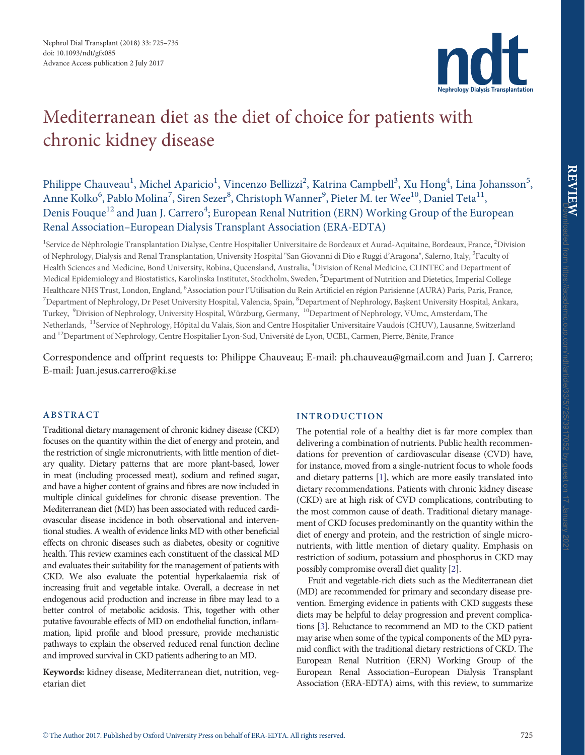

# Mediterranean diet as the diet of choice for patients with chronic kidney disease

Philippe Chauveau<sup>1</sup>, Michel Aparicio<sup>1</sup>, Vincenzo Bellizzi<sup>2</sup>, Katrina Campbell<sup>3</sup>, Xu Hong<sup>4</sup>, Lina Johansson<sup>5</sup>, Anne Kolko<sup>6</sup>, Pablo Molina<sup>7</sup>, Siren Sezer<sup>8</sup>, Christoph Wanner<sup>9</sup>, Pieter M. ter Wee<sup>10</sup>, Daniel Teta<sup>11</sup>, Denis Fouque<sup>12</sup> and Juan J. Carrero<sup>4</sup>; European Renal Nutrition (ERN) Working Group of the European Renal Association–European Dialysis Transplant Association (ERA-EDTA)

<sup>1</sup>Service de Néphrologie Transplantation Dialyse, Centre Hospitalier Universitaire de Bordeaux et Aurad-Aquitaine, Bordeaux, France, <sup>2</sup>Division of Nephrology, Dialysis and Renal Transplantation, University Hospital "San Giovanni di Dio e Ruggi d'Aragona", Salerno, Italy, <sup>3</sup>Faculty of Health Sciences and Medicine, Bond University, Robina, Queensland, Australia, <sup>4</sup>Division of Renal Medicine, CLINTEC and Department of Medical Epidemiology and Biostatistics, Karolinska Institutet, Stockholm, Sweden, <sup>5</sup>Department of Nutrition and Dietetics, Imperial College Healthcare NHS Trust, London, England, <sup>6</sup>Association pour l'Utilisation du Rein Artificiel en région Parisienne (AURA) Paris, Paris, France,  $^7$ Department of Nephrology, Dr Peset University Hospital, Valencia, Spain,  $^8$ Department of Nephrology, Başkent University Hospital, Ankara, Turkey, <sup>9</sup>Division of Nephrology, University Hospital, Würzburg, Germany, <sup>10</sup>Department of Nephrology, VUmc, Amsterdam, The Netherlands, <sup>11</sup>Service of Nephrology, Hôpital du Valais, Sion and Centre Hospitalier Universitaire Vaudois (CHUV), Lausanne, Switzerland and <sup>12</sup>Department of Nephrology, Centre Hospitalier Lyon-Sud, Université de Lyon, UCBL, Carmen, Pierre, Bénite, France

Correspondence and offprint requests to: Philippe Chauveau; E-mail: ph.chauveau@gmail.com and Juan J. Carrero; E-mail: Juan.jesus.carrero@ki.se

#### ABSTRACT

Traditional dietary management of chronic kidney disease (CKD) focuses on the quantity within the diet of energy and protein, and the restriction of single micronutrients, with little mention of dietary quality. Dietary patterns that are more plant-based, lower in meat (including processed meat), sodium and refined sugar, and have a higher content of grains and fibres are now included in multiple clinical guidelines for chronic disease prevention. The Mediterranean diet (MD) has been associated with reduced cardiovascular disease incidence in both observational and interventional studies. A wealth of evidence links MD with other beneficial effects on chronic diseases such as diabetes, obesity or cognitive health. This review examines each constituent of the classical MD and evaluates their suitability for the management of patients with CKD. We also evaluate the potential hyperkalaemia risk of increasing fruit and vegetable intake. Overall, a decrease in net endogenous acid production and increase in fibre may lead to a better control of metabolic acidosis. This, together with other putative favourable effects of MD on endothelial function, inflammation, lipid profile and blood pressure, provide mechanistic pathways to explain the observed reduced renal function decline and improved survival in CKD patients adhering to an MD.

Keywords: kidney disease, Mediterranean diet, nutrition, vegetarian diet

#### INTRODUCTION

The potential role of a healthy diet is far more complex than delivering a combination of nutrients. Public health recommendations for prevention of cardiovascular disease (CVD) have, for instance, moved from a single-nutrient focus to whole foods and dietary patterns [1], which are more easily translated into dietary recommendations. Patients with chronic kidney disease (CKD) are at high risk of CVD complications, contributing to the most common cause of death. Traditional dietary management of CKD focuses predominantly on the quantity within the diet of energy and protein, and the restriction of single micronutrients, with little mention of dietary quality. Emphasis on restriction of sodium, potassium and phosphorus in CKD may possibly compromise overall diet quality [2].

Fruit and vegetable-rich diets such as the Mediterranean diet (MD) are recommended for primary and secondary disease prevention. Emerging evidence in patients with CKD suggests these diets may be helpful to delay progression and prevent complications [3]. Reluctance to recommend an MD to the CKD patient may arise when some of the typical components of the MD pyramid conflict with the traditional dietary restrictions of CKD. The European Renal Nutrition (ERN) Working Group of the European Renal Association–European Dialysis Transplant Association (ERA-EDTA) aims, with this review, to summarize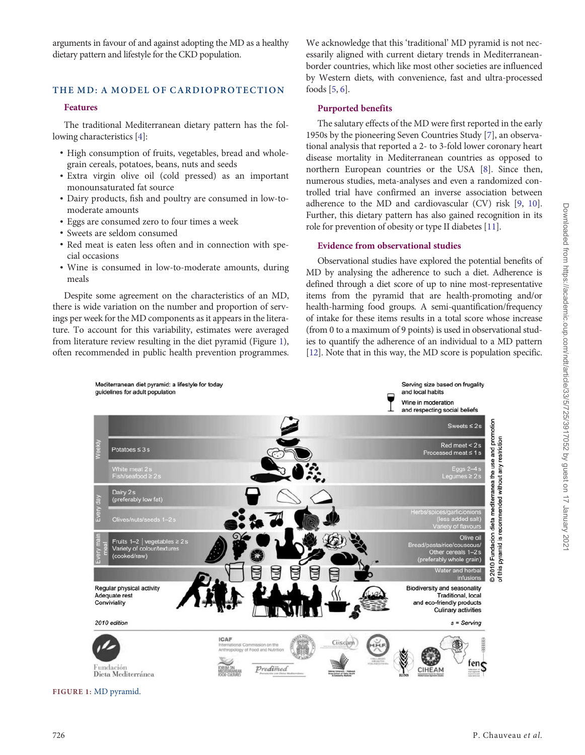arguments in favour of and against adopting the MD as a healthy dietary pattern and lifestyle for the CKD population.

## THE MD: A MODEL OF CARDIOPROTECTION

#### Features

The traditional Mediterranean dietary pattern has the following characteristics [4]:

- High consumption of fruits, vegetables, bread and wholegrain cereals, potatoes, beans, nuts and seeds
- Extra virgin olive oil (cold pressed) as an important monounsaturated fat source
- Dairy products, fish and poultry are consumed in low-tomoderate amounts
- Eggs are consumed zero to four times a week
- Sweets are seldom consumed
- Red meat is eaten less often and in connection with special occasions
- Wine is consumed in low-to-moderate amounts, during meals

Despite some agreement on the characteristics of an MD, there is wide variation on the number and proportion of servings per week for the MD components as it appears in the literature. To account for this variability, estimates were averaged from literature review resulting in the diet pyramid (Figure 1), often recommended in public health prevention programmes. We acknowledge that this 'traditional' MD pyramid is not necessarily aligned with current dietary trends in Mediterraneanborder countries, which like most other societies are influenced by Western diets, with convenience, fast and ultra-processed foods [5, 6].

#### Purported benefits

The salutary effects of the MD were first reported in the early 1950s by the pioneering Seven Countries Study [7], an observational analysis that reported a 2- to 3-fold lower coronary heart disease mortality in Mediterranean countries as opposed to northern European countries or the USA [8]. Since then, numerous studies, meta-analyses and even a randomized controlled trial have confirmed an inverse association between adherence to the MD and cardiovascular (CV) risk [9, 10]. Further, this dietary pattern has also gained recognition in its role for prevention of obesity or type II diabetes [11].

#### Evidence from observational studies

Observational studies have explored the potential benefits of MD by analysing the adherence to such a diet. Adherence is defined through a diet score of up to nine most-representative items from the pyramid that are health-promoting and/or health-harming food groups. A semi-quantification/frequency of intake for these items results in a total score whose increase (from 0 to a maximum of 9 points) is used in observational studies to quantify the adherence of an individual to a MD pattern [12]. Note that in this way, the MD score is population specific.



FIGURE 1: MD pyramid.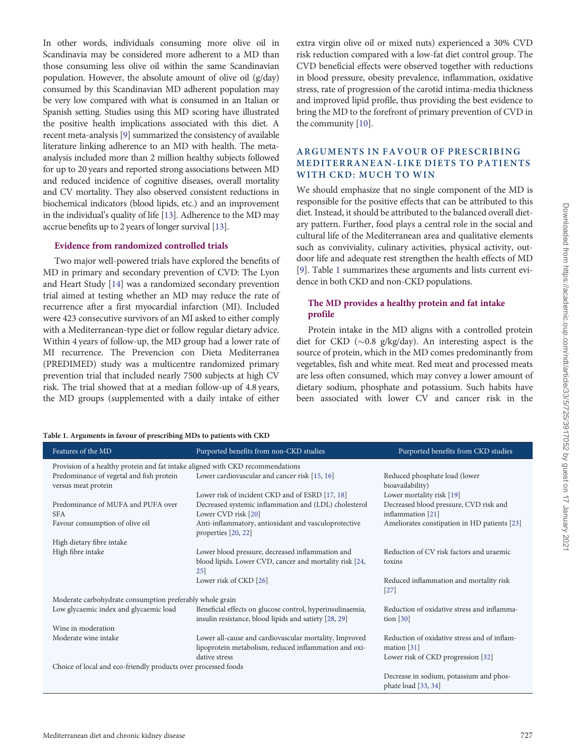In other words, individuals consuming more olive oil in Scandinavia may be considered more adherent to a MD than those consuming less olive oil within the same Scandinavian population. However, the absolute amount of olive oil (g/day) consumed by this Scandinavian MD adherent population may be very low compared with what is consumed in an Italian or Spanish setting. Studies using this MD scoring have illustrated the positive health implications associated with this diet. A recent meta-analysis [9] summarized the consistency of available literature linking adherence to an MD with health. The metaanalysis included more than 2 million healthy subjects followed for up to 20 years and reported strong associations between MD and reduced incidence of cognitive diseases, overall mortality and CV mortality. They also observed consistent reductions in biochemical indicators (blood lipids, etc.) and an improvement in the individual's quality of life [13]. Adherence to the MD may accrue benefits up to 2 years of longer survival [13].

#### Evidence from randomized controlled trials

Two major well-powered trials have explored the benefits of MD in primary and secondary prevention of CVD: The Lyon and Heart Study [14] was a randomized secondary prevention trial aimed at testing whether an MD may reduce the rate of recurrence after a first myocardial infarction (MI). Included were 423 consecutive survivors of an MI asked to either comply with a Mediterranean-type diet or follow regular dietary advice. Within 4 years of follow-up, the MD group had a lower rate of MI recurrence. The Prevencion con Dieta Mediterranea (PREDIMED) study was a multicentre randomized primary prevention trial that included nearly 7500 subjects at high CV risk. The trial showed that at a median follow-up of 4.8 years, the MD groups (supplemented with a daily intake of either extra virgin olive oil or mixed nuts) experienced a 30% CVD risk reduction compared with a low-fat diet control group. The CVD beneficial effects were observed together with reductions in blood pressure, obesity prevalence, inflammation, oxidative stress, rate of progression of the carotid intima-media thickness and improved lipid profile, thus providing the best evidence to bring the MD to the forefront of primary prevention of CVD in the community [10].

## ARGUMENTS IN FAVOUR OF PRESCRIBING MEDITERRANEAN-LIKE DIETS TO PATIENTS WITH CKD: MUCH TO WIN

We should emphasize that no single component of the MD is responsible for the positive effects that can be attributed to this diet. Instead, it should be attributed to the balanced overall dietary pattern. Further, food plays a central role in the social and cultural life of the Mediterranean area and qualitative elements such as conviviality, culinary activities, physical activity, outdoor life and adequate rest strengthen the health effects of MD [9]. Table 1 summarizes these arguments and lists current evidence in both CKD and non-CKD populations.

## The MD provides a healthy protein and fat intake profile

Protein intake in the MD aligns with a controlled protein diet for CKD ( $\sim$ 0.8 g/kg/day). An interesting aspect is the source of protein, which in the MD comes predominantly from vegetables, fish and white meat. Red meat and processed meats are less often consumed, which may convey a lower amount of dietary sodium, phosphate and potassium. Such habits have been associated with lower CV and cancer risk in the

#### Table 1. Arguments in favour of prescribing MDs to patients with CKD

| Features of the MD                                                             | Purported benefits from non-CKD studies                                                                            | Purported benefits from CKD studies                            |  |  |  |  |  |
|--------------------------------------------------------------------------------|--------------------------------------------------------------------------------------------------------------------|----------------------------------------------------------------|--|--|--|--|--|
| Provision of a healthy protein and fat intake aligned with CKD recommendations |                                                                                                                    |                                                                |  |  |  |  |  |
| Predominance of vegetal and fish protein<br>versus meat protein                | Lower cardiovascular and cancer risk [15, 16]                                                                      | Reduced phosphate load (lower<br>bioavailability)              |  |  |  |  |  |
|                                                                                | Lower risk of incident CKD and of ESRD [17, 18]                                                                    | Lower mortality risk [19]                                      |  |  |  |  |  |
| Predominance of MUFA and PUFA over<br><b>SFA</b>                               | Decreased systemic inflammation and (LDL) cholesterol<br>Lower CVD risk [20]                                       | Decreased blood pressure, CVD risk and<br>inflammation [21]    |  |  |  |  |  |
| Favour consumption of olive oil                                                | Anti-inflammatory, antioxidant and vasculoprotective<br>properties [20, 22]                                        | Ameliorates constipation in HD patients [23]                   |  |  |  |  |  |
| High dietary fibre intake                                                      |                                                                                                                    |                                                                |  |  |  |  |  |
| High fibre intake                                                              | Lower blood pressure, decreased inflammation and<br>blood lipids. Lower CVD, cancer and mortality risk [24,        | Reduction of CV risk factors and uraemic<br>toxins             |  |  |  |  |  |
|                                                                                | 25]<br>Lower risk of CKD [26]                                                                                      | Reduced inflammation and mortality risk<br>$[27]$              |  |  |  |  |  |
| Moderate carbohydrate consumption preferably whole grain                       |                                                                                                                    |                                                                |  |  |  |  |  |
| Low glycaemic index and glycaemic load                                         | Beneficial effects on glucose control, hyperinsulinaemia,<br>insulin resistance, blood lipids and satiety [28, 29] | Reduction of oxidative stress and inflamma-<br>tion $[30]$     |  |  |  |  |  |
| Wine in moderation                                                             |                                                                                                                    |                                                                |  |  |  |  |  |
| Moderate wine intake                                                           | Lower all-cause and cardiovascular mortality. Improved<br>lipoprotein metabolism, reduced inflammation and oxi-    | Reduction of oxidative stress and of inflam-<br>mation $[31]$  |  |  |  |  |  |
|                                                                                | dative stress                                                                                                      | Lower risk of CKD progression [32]                             |  |  |  |  |  |
| Choice of local and eco-friendly products over processed foods                 |                                                                                                                    |                                                                |  |  |  |  |  |
|                                                                                |                                                                                                                    | Decrease in sodium, potassium and phos-<br>phate load [33, 34] |  |  |  |  |  |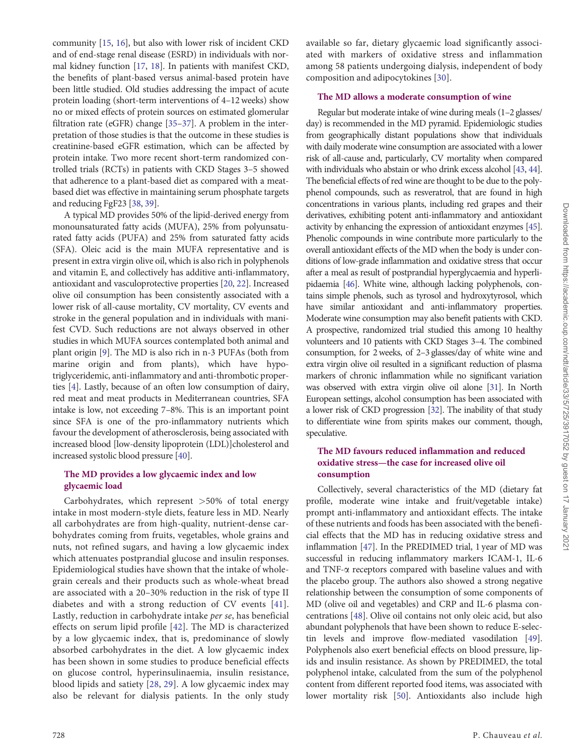community [15, 16], but also with lower risk of incident CKD and of end-stage renal disease (ESRD) in individuals with normal kidney function [17, 18]. In patients with manifest CKD, the benefits of plant-based versus animal-based protein have been little studied. Old studies addressing the impact of acute protein loading (short-term interventions of 4–12 weeks) show no or mixed effects of protein sources on estimated glomerular filtration rate (eGFR) change [35–37]. A problem in the interpretation of those studies is that the outcome in these studies is creatinine-based eGFR estimation, which can be affected by protein intake. Two more recent short-term randomized controlled trials (RCTs) in patients with CKD Stages 3–5 showed that adherence to a plant-based diet as compared with a meatbased diet was effective in maintaining serum phosphate targets and reducing FgF23 [38, 39].

A typical MD provides 50% of the lipid-derived energy from monounsaturated fatty acids (MUFA), 25% from polyunsaturated fatty acids (PUFA) and 25% from saturated fatty acids (SFA). Oleic acid is the main MUFA representative and is present in extra virgin olive oil, which is also rich in polyphenols and vitamin E, and collectively has additive anti-inflammatory, antioxidant and vasculoprotective properties [20, 22]. Increased olive oil consumption has been consistently associated with a lower risk of all-cause mortality, CV mortality, CV events and stroke in the general population and in individuals with manifest CVD. Such reductions are not always observed in other studies in which MUFA sources contemplated both animal and plant origin [9]. The MD is also rich in n-3 PUFAs (both from marine origin and from plants), which have hypotriglyceridemic, anti-inflammatory and anti-thrombotic properties [4]. Lastly, because of an often low consumption of dairy, red meat and meat products in Mediterranean countries, SFA intake is low, not exceeding 7–8%. This is an important point since SFA is one of the pro-inflammatory nutrients which favour the development of atherosclerosis, being associated with increased blood [low-density lipoprotein (LDL)]cholesterol and increased systolic blood pressure [40].

#### The MD provides a low glycaemic index and low glycaemic load

Carbohydrates, which represent >50% of total energy intake in most modern-style diets, feature less in MD. Nearly all carbohydrates are from high-quality, nutrient-dense carbohydrates coming from fruits, vegetables, whole grains and nuts, not refined sugars, and having a low glycaemic index which attenuates postprandial glucose and insulin responses. Epidemiological studies have shown that the intake of wholegrain cereals and their products such as whole-wheat bread are associated with a 20–30% reduction in the risk of type II diabetes and with a strong reduction of CV events [41]. Lastly, reduction in carbohydrate intake per se, has beneficial effects on serum lipid profile [42]. The MD is characterized by a low glycaemic index, that is, predominance of slowly absorbed carbohydrates in the diet. A low glycaemic index has been shown in some studies to produce beneficial effects on glucose control, hyperinsulinaemia, insulin resistance, blood lipids and satiety [28, 29]. A low glycaemic index may also be relevant for dialysis patients. In the only study

available so far, dietary glycaemic load significantly associated with markers of oxidative stress and inflammation among 58 patients undergoing dialysis, independent of body composition and adipocytokines [30].

#### The MD allows a moderate consumption of wine

Regular but moderate intake of wine during meals (1–2 glasses/ day) is recommended in the MD pyramid. Epidemiologic studies from geographically distant populations show that individuals with daily moderate wine consumption are associated with a lower risk of all-cause and, particularly, CV mortality when compared with individuals who abstain or who drink excess alcohol [43, 44]. The beneficial effects of red wine are thought to be due to the polyphenol compounds, such as resveratrol, that are found in high concentrations in various plants, including red grapes and their derivatives, exhibiting potent anti-inflammatory and antioxidant activity by enhancing the expression of antioxidant enzymes [45]. Phenolic compounds in wine contribute more particularly to the overall antioxidant effects of the MD when the body is under conditions of low-grade inflammation and oxidative stress that occur after a meal as result of postprandial hyperglycaemia and hyperlipidaemia [46]. White wine, although lacking polyphenols, contains simple phenols, such as tyrosol and hydroxytyrosol, which have similar antioxidant and anti-inflammatory properties. Moderate wine consumption may also benefit patients with CKD. A prospective, randomized trial studied this among 10 healthy volunteers and 10 patients with CKD Stages 3–4. The combined consumption, for 2 weeks, of 2–3 glasses/day of white wine and extra virgin olive oil resulted in a significant reduction of plasma markers of chronic inflammation while no significant variation was observed with extra virgin olive oil alone [31]. In North European settings, alcohol consumption has been associated with a lower risk of CKD progression [32]. The inability of that study to differentiate wine from spirits makes our comment, though, speculative.

### The MD favours reduced inflammation and reduced oxidative stress—the case for increased olive oil consumption

Collectively, several characteristics of the MD (dietary fat profile, moderate wine intake and fruit/vegetable intake) prompt anti-inflammatory and antioxidant effects. The intake of these nutrients and foods has been associated with the beneficial effects that the MD has in reducing oxidative stress and inflammation [47]. In the PREDIMED trial, 1 year of MD was successful in reducing inflammatory markers ICAM-1, IL-6 and TNF-a receptors compared with baseline values and with the placebo group. The authors also showed a strong negative relationship between the consumption of some components of MD (olive oil and vegetables) and CRP and IL-6 plasma concentrations [48]. Olive oil contains not only oleic acid, but also abundant polyphenols that have been shown to reduce E-selectin levels and improve flow-mediated vasodilation [49]. Polyphenols also exert beneficial effects on blood pressure, lipids and insulin resistance. As shown by PREDIMED, the total polyphenol intake, calculated from the sum of the polyphenol content from different reported food items, was associated with lower mortality risk [50]. Antioxidants also include high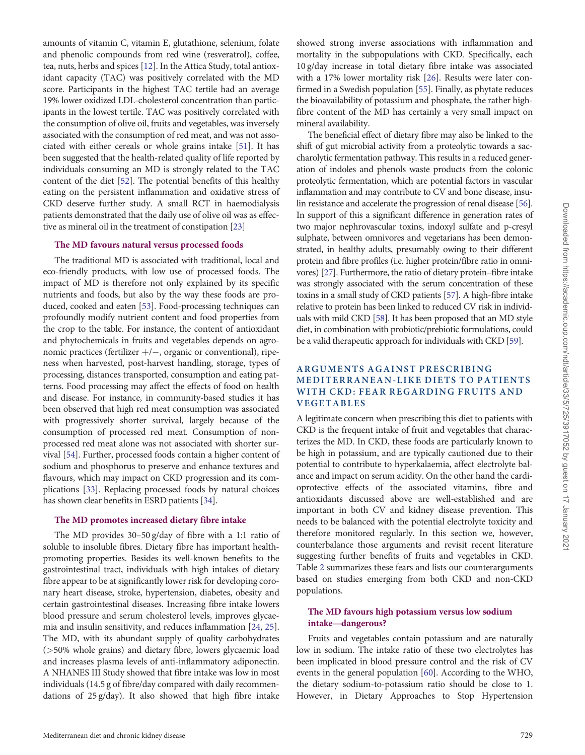amounts of vitamin C, vitamin E, glutathione, selenium, folate and phenolic compounds from red wine (resveratrol), coffee, tea, nuts, herbs and spices [12]. In the Attica Study, total antioxidant capacity (TAC) was positively correlated with the MD score. Participants in the highest TAC tertile had an average 19% lower oxidized LDL-cholesterol concentration than participants in the lowest tertile. TAC was positively correlated with the consumption of olive oil, fruits and vegetables, was inversely associated with the consumption of red meat, and was not associated with either cereals or whole grains intake [51]. It has been suggested that the health-related quality of life reported by individuals consuming an MD is strongly related to the TAC content of the diet [52]. The potential benefits of this healthy eating on the persistent inflammation and oxidative stress of CKD deserve further study. A small RCT in haemodialysis patients demonstrated that the daily use of olive oil was as effective as mineral oil in the treatment of constipation [23]

#### The MD favours natural versus processed foods

The traditional MD is associated with traditional, local and eco-friendly products, with low use of processed foods. The impact of MD is therefore not only explained by its specific nutrients and foods, but also by the way these foods are produced, cooked and eaten [53]. Food-processing techniques can profoundly modify nutrient content and food properties from the crop to the table. For instance, the content of antioxidant and phytochemicals in fruits and vegetables depends on agronomic practices (fertilizer  $+/-$ , organic or conventional), ripeness when harvested, post-harvest handling, storage, types of processing, distances transported, consumption and eating patterns. Food processing may affect the effects of food on health and disease. For instance, in community-based studies it has been observed that high red meat consumption was associated with progressively shorter survival, largely because of the consumption of processed red meat. Consumption of nonprocessed red meat alone was not associated with shorter survival [54]. Further, processed foods contain a higher content of sodium and phosphorus to preserve and enhance textures and flavours, which may impact on CKD progression and its complications [33]. Replacing processed foods by natural choices has shown clear benefits in ESRD patients [34].

#### The MD promotes increased dietary fibre intake

The MD provides 30–50 g/day of fibre with a 1:1 ratio of soluble to insoluble fibres. Dietary fibre has important healthpromoting properties. Besides its well-known benefits to the gastrointestinal tract, individuals with high intakes of dietary fibre appear to be at significantly lower risk for developing coronary heart disease, stroke, hypertension, diabetes, obesity and certain gastrointestinal diseases. Increasing fibre intake lowers blood pressure and serum cholesterol levels, improves glycaemia and insulin sensitivity, and reduces inflammation [24, 25]. The MD, with its abundant supply of quality carbohydrates (>50% whole grains) and dietary fibre, lowers glycaemic load and increases plasma levels of anti-inflammatory adiponectin. A NHANES III Study showed that fibre intake was low in most individuals (14.5 g of fibre/day compared with daily recommendations of 25 g/day). It also showed that high fibre intake showed strong inverse associations with inflammation and mortality in the subpopulations with CKD. Specifically, each 10 g/day increase in total dietary fibre intake was associated with a 17% lower mortality risk [26]. Results were later confirmed in a Swedish population [55]. Finally, as phytate reduces the bioavailability of potassium and phosphate, the rather highfibre content of the MD has certainly a very small impact on mineral availability.

The beneficial effect of dietary fibre may also be linked to the shift of gut microbial activity from a proteolytic towards a saccharolytic fermentation pathway. This results in a reduced generation of indoles and phenols waste products from the colonic proteolytic fermentation, which are potential factors in vascular inflammation and may contribute to CV and bone disease, insulin resistance and accelerate the progression of renal disease [56]. In support of this a significant difference in generation rates of two major nephrovascular toxins, indoxyl sulfate and p-cresyl sulphate, between omnivores and vegetarians has been demonstrated, in healthy adults, presumably owing to their different protein and fibre profiles (i.e. higher protein/fibre ratio in omnivores) [27]. Furthermore, the ratio of dietary protein–fibre intake was strongly associated with the serum concentration of these toxins in a small study of CKD patients [57]. A high-fibre intake relative to protein has been linked to reduced CV risk in individuals with mild CKD [58]. It has been proposed that an MD style diet, in combination with probiotic/prebiotic formulations, could be a valid therapeutic approach for individuals with CKD [59].

### ARGUMENTS AGAINST PRESCRIBING MEDITERRANEAN-LIKE DIETS TO PATIENTS WITH CKD: FEAR REGARDING FRUITS AND VEGETABLES

A legitimate concern when prescribing this diet to patients with CKD is the frequent intake of fruit and vegetables that characterizes the MD. In CKD, these foods are particularly known to be high in potassium, and are typically cautioned due to their potential to contribute to hyperkalaemia, affect electrolyte balance and impact on serum acidity. On the other hand the cardioprotective effects of the associated vitamins, fibre and antioxidants discussed above are well-established and are important in both CV and kidney disease prevention. This needs to be balanced with the potential electrolyte toxicity and therefore monitored regularly. In this section we, however, counterbalance those arguments and revisit recent literature suggesting further benefits of fruits and vegetables in CKD. Table 2 summarizes these fears and lists our counterarguments based on studies emerging from both CKD and non-CKD populations.

#### The MD favours high potassium versus low sodium intake—dangerous?

Fruits and vegetables contain potassium and are naturally low in sodium. The intake ratio of these two electrolytes has been implicated in blood pressure control and the risk of CV events in the general population [60]. According to the WHO, the dietary sodium-to-potassium ratio should be close to 1. However, in Dietary Approaches to Stop Hypertension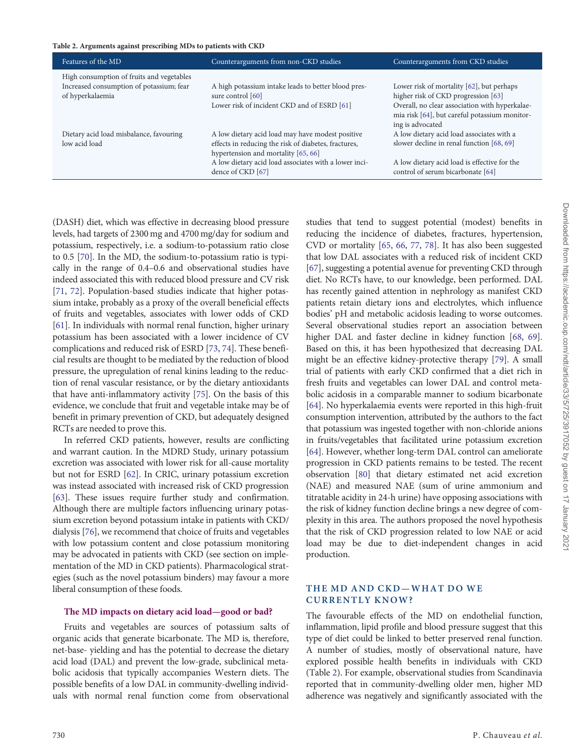Table 2. Arguments against prescribing MDs to patients with CKD

| Features of the MD                                                                                        | Counterarguments from non-CKD studies                                                                                                           | Counterarguments from CKD studies                                                                                                                                                   |  |  |
|-----------------------------------------------------------------------------------------------------------|-------------------------------------------------------------------------------------------------------------------------------------------------|-------------------------------------------------------------------------------------------------------------------------------------------------------------------------------------|--|--|
| High consumption of fruits and vegetables<br>Increased consumption of potassium; fear<br>of hyperkalaemia | A high potassium intake leads to better blood pres-<br>sure control $[60]$<br>Lower risk of incident CKD and of ESRD [61]                       | Lower risk of mortality [62], but perhaps<br>higher risk of CKD progression [63]<br>Overall, no clear association with hyperkalae-<br>mia risk [64], but careful potassium monitor- |  |  |
| Dietary acid load misbalance, favouring<br>low acid load                                                  | A low dietary acid load may have modest positive<br>effects in reducing the risk of diabetes, fractures,<br>hypertension and mortality [65, 66] | ing is advocated<br>A low dietary acid load associates with a<br>slower decline in renal function [68, 69]                                                                          |  |  |
|                                                                                                           | A low dietary acid load associates with a lower inci-<br>dence of CKD [67]                                                                      | A low dietary acid load is effective for the<br>control of serum bicarbonate [64]                                                                                                   |  |  |

(DASH) diet, which was effective in decreasing blood pressure levels, had targets of 2300 mg and 4700 mg/day for sodium and potassium, respectively, i.e. a sodium-to-potassium ratio close to 0.5 [70]. In the MD, the sodium-to-potassium ratio is typically in the range of 0.4–0.6 and observational studies have indeed associated this with reduced blood pressure and CV risk [71, 72]. Population-based studies indicate that higher potassium intake, probably as a proxy of the overall beneficial effects of fruits and vegetables, associates with lower odds of CKD [61]. In individuals with normal renal function, higher urinary potassium has been associated with a lower incidence of CV complications and reduced risk of ESRD [73, 74]. These beneficial results are thought to be mediated by the reduction of blood pressure, the upregulation of renal kinins leading to the reduction of renal vascular resistance, or by the dietary antioxidants that have anti-inflammatory activity [75]. On the basis of this evidence, we conclude that fruit and vegetable intake may be of benefit in primary prevention of CKD, but adequately designed RCTs are needed to prove this.

In referred CKD patients, however, results are conflicting and warrant caution. In the MDRD Study, urinary potassium excretion was associated with lower risk for all-cause mortality but not for ESRD [62]. In CRIC, urinary potassium excretion was instead associated with increased risk of CKD progression [63]. These issues require further study and confirmation. Although there are multiple factors influencing urinary potassium excretion beyond potassium intake in patients with CKD/ dialysis [76], we recommend that choice of fruits and vegetables with low potassium content and close potassium monitoring may be advocated in patients with CKD (see section on implementation of the MD in CKD patients). Pharmacological strategies (such as the novel potassium binders) may favour a more liberal consumption of these foods.

#### The MD impacts on dietary acid load—good or bad?

Fruits and vegetables are sources of potassium salts of organic acids that generate bicarbonate. The MD is, therefore, net-base- yielding and has the potential to decrease the dietary acid load (DAL) and prevent the low-grade, subclinical metabolic acidosis that typically accompanies Western diets. The possible benefits of a low DAL in community-dwelling individuals with normal renal function come from observational studies that tend to suggest potential (modest) benefits in reducing the incidence of diabetes, fractures, hypertension, CVD or mortality [65, 66, 77, 78]. It has also been suggested that low DAL associates with a reduced risk of incident CKD [67], suggesting a potential avenue for preventing CKD through diet. No RCTs have, to our knowledge, been performed. DAL has recently gained attention in nephrology as manifest CKD patients retain dietary ions and electrolytes, which influence bodies' pH and metabolic acidosis leading to worse outcomes. Several observational studies report an association between higher DAL and faster decline in kidney function [68, 69]. Based on this, it has been hypothesized that decreasing DAL might be an effective kidney-protective therapy [79]. A small trial of patients with early CKD confirmed that a diet rich in fresh fruits and vegetables can lower DAL and control metabolic acidosis in a comparable manner to sodium bicarbonate [64]. No hyperkalaemia events were reported in this high-fruit consumption intervention, attributed by the authors to the fact that potassium was ingested together with non-chloride anions in fruits/vegetables that facilitated urine potassium excretion [64]. However, whether long-term DAL control can ameliorate progression in CKD patients remains to be tested. The recent observation [80] that dietary estimated net acid excretion (NAE) and measured NAE (sum of urine ammonium and titratable acidity in 24-h urine) have opposing associations with the risk of kidney function decline brings a new degree of complexity in this area. The authors proposed the novel hypothesis that the risk of CKD progression related to low NAE or acid load may be due to diet-independent changes in acid production.

#### THE MD AND CKD—WHAT DO WE CURRENTLY KNOW?

The favourable effects of the MD on endothelial function, inflammation, lipid profile and blood pressure suggest that this type of diet could be linked to better preserved renal function. A number of studies, mostly of observational nature, have explored possible health benefits in individuals with CKD (Table 2). For example, observational studies from Scandinavia reported that in community-dwelling older men, higher MD adherence was negatively and significantly associated with the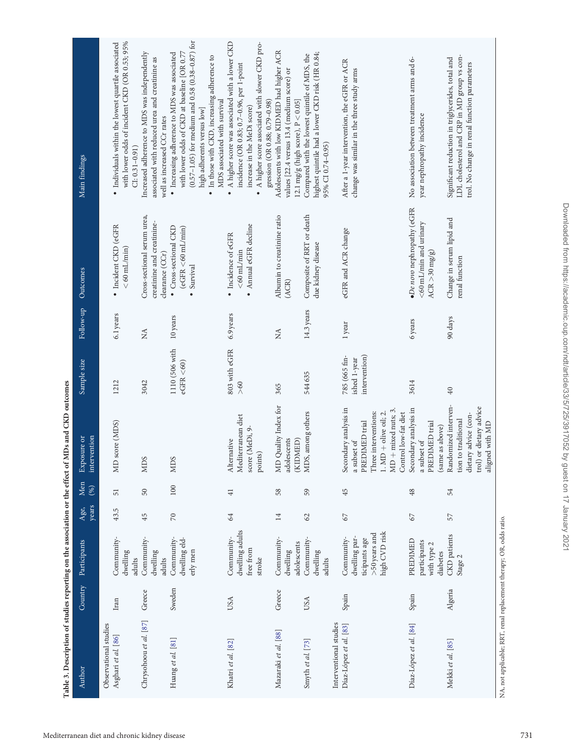|                                                                                                    | Main findings               | with lower odds of incident CKD (OR 0.53; 95%<br>· Individuals within the lowest quartile associated<br>$CI: 0.31 - 0.91$ | Increased adherence to MDS was independently<br>associated with reduced urea and creatinine as<br>well as increased CCr rates | $(0.57 - 1.05)$ for medium and 0.58 $(0.38 - 0.87)$ for<br>with lower odds of CKD at baseline [OR 0.77<br>· Increasing adherence to MDS was associated<br>• In those with CKD, increasing adherence to<br>MDS associated with survival<br>high adherents versus low] | A higher score was associated with a lower CKD<br>• A higher score associated with slower CKD pro-<br>incidence (OR 0.83; 0.7-0.96, per 1-point<br>gression (OR 0.88; 0.79-0.98)<br>increase in the MeDi score)<br>$\bullet$ | Adolescents with low KIDMED had higher ACR<br>values [22.4 versus 13.4 (medium score) or<br>12.1 mg/g (high score), $P < 0.05$ ] | highest quintile had a lower CKD risk (HR 0.84;<br>Compared with the lowest quintile of MDS, the<br>95% CI 0.74-0.95) | After a 1-year intervention, the eGFR or ACR<br>change was similar in the three study arms                                                                      | No association between treatment arms and 6-<br>year nephropathy incidence     | LDL cholesterol and CRP in MD group vs con-<br>Significant reduction in triglycerides, total and<br>trol. No change in renal function parameters |
|----------------------------------------------------------------------------------------------------|-----------------------------|---------------------------------------------------------------------------------------------------------------------------|-------------------------------------------------------------------------------------------------------------------------------|----------------------------------------------------------------------------------------------------------------------------------------------------------------------------------------------------------------------------------------------------------------------|------------------------------------------------------------------------------------------------------------------------------------------------------------------------------------------------------------------------------|----------------------------------------------------------------------------------------------------------------------------------|-----------------------------------------------------------------------------------------------------------------------|-----------------------------------------------------------------------------------------------------------------------------------------------------------------|--------------------------------------------------------------------------------|--------------------------------------------------------------------------------------------------------------------------------------------------|
|                                                                                                    | Outcomes                    | $\bullet$ Incident CKD (eGFR<br>$< 60$ mL/min)                                                                            | Cross-sectional serum urea,<br>creatinine and creatinine-<br>clearance (CCr)                                                  | • Cross-sectional CKD<br>$(eGFR < 60 \text{ mL/min})$<br>• Survival                                                                                                                                                                                                  | · Annual eGFR decline<br>· Incidence of eGFR<br>$< 60$ mL/min                                                                                                                                                                | Albumin to creatinine ratio<br>(ACR)                                                                                             | Composite of RRT or death<br>due kidney disease                                                                       | eGFR and ACR change                                                                                                                                             | $\bullet$ De novo nephropathy (eGFR<br><60 mL/min and urinary<br>ACR > 30 mg/g | Change in serum lipid and<br>renal function                                                                                                      |
|                                                                                                    | Follow-up                   | 6.1 years                                                                                                                 | $\stackrel{\triangle}{\scriptstyle\sim}$                                                                                      | 10 years                                                                                                                                                                                                                                                             | 6.9 years                                                                                                                                                                                                                    | $\mathbb{X}^{\mathsf{A}}$                                                                                                        | 14.3 years                                                                                                            | 1 year                                                                                                                                                          | 6 years                                                                        | 90 days                                                                                                                                          |
| Table 3. Description of studies reporting on the association or the effect of MDs and CKD outcomes | Sample size                 | 1212                                                                                                                      | 3042                                                                                                                          | 1110 (506 with<br>eGFR <sub>60</sub>                                                                                                                                                                                                                                 | 803 with eGFR<br>>60                                                                                                                                                                                                         | 365                                                                                                                              | 544635                                                                                                                | intervention)<br>785 (665 fin-<br>ished 1-year                                                                                                                  | 3614                                                                           | 40                                                                                                                                               |
|                                                                                                    | intervention<br>Exposure or | MD score (MDS)                                                                                                            | <b>NIDS</b>                                                                                                                   | <b>NIDS</b>                                                                                                                                                                                                                                                          | Mediterranean diet<br>score (MeDi, 9-<br>Alternative<br>points)                                                                                                                                                              | MD Quality Index for<br>adolescents<br>(KIDMED)                                                                                  | MDS, among others                                                                                                     | Secondary analysis in<br>MD + mixed nuts; 3.<br>Three interventions:<br>$1.$ MD $+$ olive oil; 2. $\,$<br>Control low-fat diet<br>PREDIMED trial<br>a subset of | Secondary analysis in<br>PREDIMED trial<br>(same as above)<br>a subset of      | Randomized interven-<br>trol) or dietary advice<br>dietary advice (con-<br>tion to traditional<br>aligned with MD                                |
|                                                                                                    | Men<br>(%)                  | $\overline{51}$                                                                                                           | $50\,$                                                                                                                        | 100                                                                                                                                                                                                                                                                  | $\mp$                                                                                                                                                                                                                        | 58                                                                                                                               | 59                                                                                                                    | $45$                                                                                                                                                            | $48$                                                                           | 54                                                                                                                                               |
|                                                                                                    | years<br>Age,               | 43.5                                                                                                                      | 45                                                                                                                            | $\gtrsim$                                                                                                                                                                                                                                                            | 64                                                                                                                                                                                                                           | $\overline{14}$                                                                                                                  | $62$                                                                                                                  | $\sqrt{6}$                                                                                                                                                      | $\mathcal{L}$                                                                  | 57                                                                                                                                               |
|                                                                                                    | Participants                | Community-<br>dwelling<br>adults                                                                                          | Community-<br>dwelling<br>adults                                                                                              | Community-<br>dwelling eld-<br>erly men                                                                                                                                                                                                                              | dwelling adults<br>Community-<br>free from<br>stroke                                                                                                                                                                         | Community-<br>adolescents<br>dwelling                                                                                            | Community-<br>dwelling<br>adults                                                                                      | high CVD risk<br>>50 years and<br>dwelling par-<br>Community-<br>ticipants age                                                                                  | PREDIMED<br>participants<br>with type 2<br>diabetes                            | CKD patients<br>Stage 2                                                                                                                          |
|                                                                                                    | Country                     | Iran                                                                                                                      | Greece                                                                                                                        | Sweden                                                                                                                                                                                                                                                               | <b>USA</b>                                                                                                                                                                                                                   | Greece                                                                                                                           | USA                                                                                                                   | Spain                                                                                                                                                           | Spain                                                                          | Algeria                                                                                                                                          |
|                                                                                                    | Author                      | Observational studies<br>Asghari et al. [86]                                                                              | Chrysohoou et al. [87]                                                                                                        | Huang et al. [81]                                                                                                                                                                                                                                                    | Khatri et al. [82]                                                                                                                                                                                                           | Mazaraki et al. [88]                                                                                                             | Smyth et al. [73]                                                                                                     | Interventional studies<br>Díaz-López et al. [83]                                                                                                                | Díaz-López et al. [84]                                                         | NA, not applicable; RRT, renal replacement therapy; OR, odds ratio.<br>Mekki et al. [85]                                                         |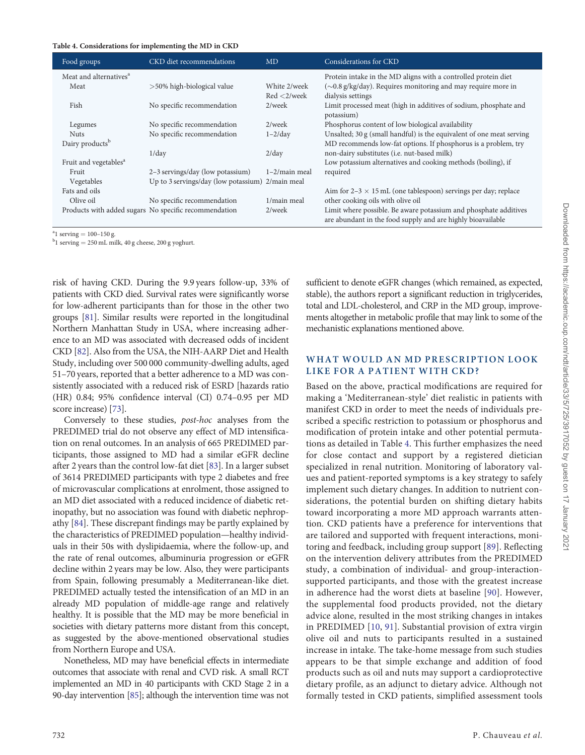#### Table 4. Considerations for implementing the MD in CKD

| Food groups                        | CKD diet recommendations                              | <b>MD</b>                       | Considerations for CKD                                                                                                          |
|------------------------------------|-------------------------------------------------------|---------------------------------|---------------------------------------------------------------------------------------------------------------------------------|
| Meat and alternatives <sup>a</sup> |                                                       |                                 | Protein intake in the MD aligns with a controlled protein diet                                                                  |
| Meat                               | >50% high-biological value                            | White 2/week<br>$Red < 2$ /week | $(\sim 0.8 \text{ g/kg/day})$ . Requires monitoring and may require more in<br>dialysis settings                                |
| Fish                               | No specific recommendation                            | $2$ /week                       | Limit processed meat (high in additives of sodium, phosphate and<br>potassium)                                                  |
| Legumes                            | No specific recommendation                            | $2$ /week                       | Phosphorus content of low biological availability                                                                               |
| <b>Nuts</b>                        | No specific recommendation                            | $1-2$ /day                      | Unsalted; 30 g (small handful) is the equivalent of one meat serving                                                            |
| Dairy products <sup>b</sup>        |                                                       |                                 | MD recommends low-fat options. If phosphorus is a problem, try                                                                  |
|                                    | 1/day                                                 | $2$ /day                        | non-dairy substitutes (i.e. nut-based milk)                                                                                     |
| Fruit and vegetables <sup>a</sup>  |                                                       |                                 | Low potassium alternatives and cooking methods (boiling), if                                                                    |
| Fruit                              | 2–3 servings/day (low potassium)                      | $1-2/main$ meal                 | required                                                                                                                        |
| Vegetables                         | Up to 3 servings/day (low potassium)                  | 2/main meal                     |                                                                                                                                 |
| Fats and oils                      |                                                       |                                 | Aim for $2-3 \times 15$ mL (one tablespoon) servings per day; replace                                                           |
| Olive oil                          | No specific recommendation                            | 1/main meal                     | other cooking oils with olive oil                                                                                               |
|                                    | Products with added sugars No specific recommendation | $2$ /week                       | Limit where possible. Be aware potassium and phosphate additives<br>are abundant in the food supply and are highly bioavailable |

 $a_{1}$  serving = 100-150 g.

 $b$ 1 serving = 250 mL milk, 40 g cheese, 200 g yoghurt.

risk of having CKD. During the 9.9 years follow-up, 33% of patients with CKD died. Survival rates were significantly worse for low-adherent participants than for those in the other two groups [81]. Similar results were reported in the longitudinal Northern Manhattan Study in USA, where increasing adherence to an MD was associated with decreased odds of incident CKD [82]. Also from the USA, the NIH-AARP Diet and Health Study, including over 500 000 community-dwelling adults, aged 51–70 years, reported that a better adherence to a MD was consistently associated with a reduced risk of ESRD [hazards ratio (HR) 0.84; 95% confidence interval (CI) 0.74–0.95 per MD score increase) [73].

Conversely to these studies, post-hoc analyses from the PREDIMED trial do not observe any effect of MD intensification on renal outcomes. In an analysis of 665 PREDIMED participants, those assigned to MD had a similar eGFR decline after 2 years than the control low-fat diet [83]. In a larger subset of 3614 PREDIMED participants with type 2 diabetes and free of microvascular complications at enrolment, those assigned to an MD diet associated with a reduced incidence of diabetic retinopathy, but no association was found with diabetic nephropathy [84]. These discrepant findings may be partly explained by the characteristics of PREDIMED population—healthy individuals in their 50s with dyslipidaemia, where the follow-up, and the rate of renal outcomes, albuminuria progression or eGFR decline within 2 years may be low. Also, they were participants from Spain, following presumably a Mediterranean-like diet. PREDIMED actually tested the intensification of an MD in an already MD population of middle-age range and relatively healthy. It is possible that the MD may be more beneficial in societies with dietary patterns more distant from this concept, as suggested by the above-mentioned observational studies from Northern Europe and USA.

Nonetheless, MD may have beneficial effects in intermediate outcomes that associate with renal and CVD risk. A small RCT implemented an MD in 40 participants with CKD Stage 2 in a 90-day intervention [85]; although the intervention time was not sufficient to denote eGFR changes (which remained, as expected, stable), the authors report a significant reduction in triglycerides, total and LDL-cholesterol, and CRP in the MD group, improvements altogether in metabolic profile that may link to some of the mechanistic explanations mentioned above.

### WHAT WOULD AN MD PRESCRIPTION LOOK LIKE FOR A PATIENT WITH CKD?

Based on the above, practical modifications are required for making a 'Mediterranean-style' diet realistic in patients with manifest CKD in order to meet the needs of individuals prescribed a specific restriction to potassium or phosphorus and modification of protein intake and other potential permutations as detailed in Table 4. This further emphasizes the need for close contact and support by a registered dietician specialized in renal nutrition. Monitoring of laboratory values and patient-reported symptoms is a key strategy to safely implement such dietary changes. In addition to nutrient considerations, the potential burden on shifting dietary habits toward incorporating a more MD approach warrants attention. CKD patients have a preference for interventions that are tailored and supported with frequent interactions, monitoring and feedback, including group support [89]. Reflecting on the intervention delivery attributes from the PREDIMED study, a combination of individual- and group-interactionsupported participants, and those with the greatest increase in adherence had the worst diets at baseline [90]. However, the supplemental food products provided, not the dietary advice alone, resulted in the most striking changes in intakes in PREDIMED [10, 91]. Substantial provision of extra virgin olive oil and nuts to participants resulted in a sustained increase in intake. The take-home message from such studies appears to be that simple exchange and addition of food products such as oil and nuts may support a cardioprotective dietary profile, as an adjunct to dietary advice. Although not formally tested in CKD patients, simplified assessment tools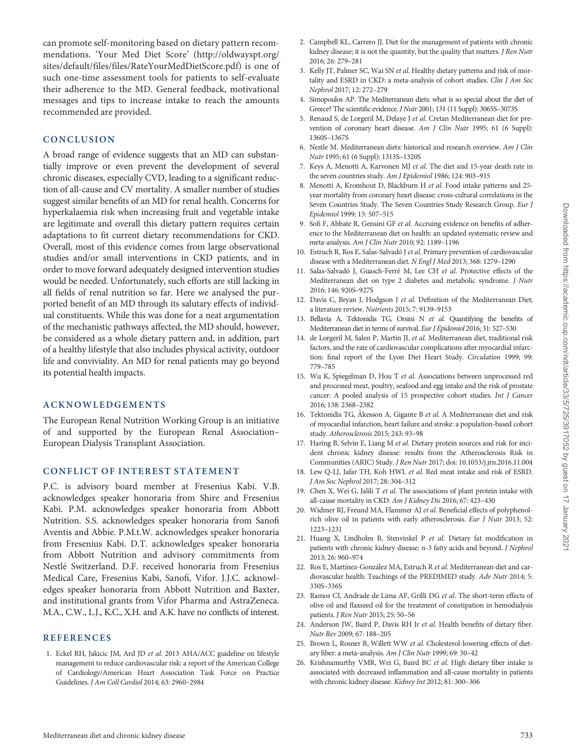can promote self-monitoring based on dietary pattern recommendations. 'Your Med Diet Score' [\(http://oldwayspt.org/](http://oldwayspt.org/sites/default/files/files/RateYourMedDietScore.pdf) [sites/default/files/files/RateYourMedDietScore.pdf\)](http://oldwayspt.org/sites/default/files/files/RateYourMedDietScore.pdf) is one of such one-time assessment tools for patients to self-evaluate their adherence to the MD. General feedback, motivational messages and tips to increase intake to reach the amounts recommended are provided.

## **CONCLUSION**

A broad range of evidence suggests that an MD can substantially improve or even prevent the development of several chronic diseases, especially CVD, leading to a significant reduction of all-cause and CV mortality. A smaller number of studies suggest similar benefits of an MD for renal health. Concerns for hyperkalaemia risk when increasing fruit and vegetable intake are legitimate and overall this dietary pattern requires certain adaptations to fit current dietary recommendations for CKD. Overall, most of this evidence comes from large observational studies and/or small interventions in CKD patients, and in order to move forward adequately designed intervention studies would be needed. Unfortunately, such efforts are still lacking in all fields of renal nutrition so far. Here we analysed the purported benefit of an MD through its salutary effects of individual constituents. While this was done for a neat argumentation of the mechanistic pathways affected, the MD should, however, be considered as a whole dietary pattern and, in addition, part of a healthy lifestyle that also includes physical activity, outdoor life and conviviality. An MD for renal patients may go beyond its potential health impacts.

## ACKNOWLEDGEMENTS

The European Renal Nutrition Working Group is an initiative of and supported by the European Renal Association– European Dialysis Transplant Association.

## CONFLICT OF INTEREST STATEMENT

P.C. is advisory board member at Fresenius Kabi. V.B. acknowledges speaker honoraria from Shire and Fresenius Kabi. P.M. acknowledges speaker honoraria from Abbott Nutrition. S.S. acknowledges speaker honoraria from Sanofi Aventis and Abbie. P.M.t.W. acknowledges speaker honoraria from Fresenius Kabi. D.T. acknowledges speaker honoraria from Abbott Nutrition and advisory commitments from Nestle´ Switzerland. D.F. received honoraria from Fresenius Medical Care, Fresenius Kabi, Sanofi, Vifor. J.J.C. acknowledges speaker honoraria from Abbott Nutrition and Baxter, and institutional grants from Vifor Pharma and AstraZeneca. M.A., C.W., L.J., K.C., X.H. and A.K. have no conflicts of interest.

#### REFERENCES

1. Eckel RH, Jakicic JM, Ard JD et al. 2013 AHA/ACC guideline on lifestyle management to reduce cardiovascular risk: a report of the American College of Cardiology/American Heart Association Task Force on Practice Guidelines. J Am Coll Cardiol 2014; 63: 2960–2984

- 2. Campbell KL, Carrero JJ. Diet for the management of patients with chronic kidney disease; it is not the quantity, but the quality that matters. J Ren Nutr 2016; 26: 279–281
- 3. Kelly JT, Palmer SC, Wai SN et al. Healthy dietary patterns and risk of mortality and ESRD in CKD: a meta-analysis of cohort studies. Clin J Am Soc Nephrol 2017; 12: 272–279
- 4. Simopoulos AP. The Mediterranean diets: what is so special about the diet of Greece? The scientific evidence. J Nutr 2001; 131 (11 Suppl): 3065S–3073S
- 5. Renaud S, de Lorgeril M, Delaye J et al. Cretan Mediterranean diet for prevention of coronary heart disease. Am J Clin Nutr 1995; 61 (6 Suppl): 1360S–1367S
- 6. Nestle M. Mediterranean diets: historical and research overview. Am J Clin Nutr 1995; 61 (6 Suppl): 1313S–1320S
- 7. Keys A, Menotti A, Karvonen MJ et al. The diet and 15-year death rate in the seven countries study. Am J Epidemiol 1986; 124: 903-915
- 8. Menotti A, Kromhout D, Blackburn H et al. Food intake patterns and 25 year mortality from coronary heart disease: cross-cultural correlations in the Seven Countries Study. The Seven Countries Study Research Group. Eur J Epidemiol 1999; 15: 507–515
- 9. Sofi F, Abbate R, Gensini GF et al. Accruing evidence on benefits of adherence to the Mediterranean diet on health: an updated systematic review and meta-analysis. Am J Clin Nutr 2010; 92: 1189–1196
- 10. Estruch R, Ros E, Salas-Salvadó J et al. Primary prevention of cardiovascular disease with a Mediterranean diet. N Engl J Med 2013; 368: 1279–1290
- 11. Salas-Salvadó J, Guasch-Ferré M, Lee CH et al. Protective effects of the Mediterranean diet on type 2 diabetes and metabolic syndrome. J Nutr 2016; 146: 920S–927S
- 12. Davis C, Bryan J, Hodgson J et al. Definition of the Mediterranean Diet; a literature review. Nutrients 2015; 7: 9139–9153
- 13. Bellavia A, Tektonidis TG, Orsini N et al. Quantifying the benefits of Mediterranean diet in terms of survival. Eur J Epidemiol 2016; 31: 527–530
- 14. de Lorgeril M, Salen P, Martin JL et al. Mediterranean diet, traditional risk factors, and the rate of cardiovascular complications after myocardial infarction: final report of the Lyon Diet Heart Study. Circulation 1999; 99: 779–785
- 15. Wu K, Spiegelman D, Hou T et al. Associations between unprocessed red and processed meat, poultry, seafood and egg intake and the risk of prostate cancer: A pooled analysis of 15 prospective cohort studies. Int J Cancer 2016; 138: 2368–2382
- 16. Tektonidis TG, Åkesson A, Gigante B et al. A Mediterranean diet and risk of myocardial infarction, heart failure and stroke: a population-based cohort study. Atherosclerosis 2015; 243: 93–98
- 17. Haring B, Selvin E, Liang M et al. Dietary protein sources and risk for incident chronic kidney disease: results from the Atherosclerosis Risk in Communities (ARIC) Study. J Ren Nutr 2017; doi: 10.1053/j.jrn.2016.11.004
- 18. Lew Q-LJ, Jafar TH, Koh HWL et al. Red meat intake and risk of ESRD. J Am Soc Nephrol 2017; 28: 304–312
- 19. Chen X, Wei G, Jalili T et al. The associations of plant protein intake with all-cause mortality in CKD. Am J Kidney Dis 2016; 67: 423–430
- 20. Widmer RJ, Freund MA, Flammer AJ et al. Beneficial effects of polyphenolrich olive oil in patients with early atherosclerosis. Eur J Nutr 2013; 52: 1223–1231
- 21. Huang X, Lindholm B, Stenvinkel P et al. Dietary fat modification in patients with chronic kidney disease: n-3 fatty acids and beyond. J Nephrol 2013; 26: 960–974
- 22. Ros E, Martínez-González MA, Estruch R et al. Mediterranean diet and cardiovascular health: Teachings of the PREDIMED study. Adv Nutr 2014; 5: 330S–336S
- 23. Ramos CI, Andrade de Lima AF, Grilli DG et al. The short-term effects of olive oil and flaxseed oil for the treatment of constipation in hemodialysis patients. J Ren Nutr 2015; 25: 50–56
- 24. Anderson JW, Baird P, Davis RH Jr et al. Health benefits of dietary fiber. Nutr Rev 2009; 67: 188–205
- 25. Brown L, Rosner B, Willett WW et al. Cholesterol-lowering effects of dietary fiber: a meta-analysis. Am J Clin Nutr 1999; 69: 30–42
- 26. Krishnamurthy VMR, Wei G, Baird BC et al. High dietary fiber intake is associated with decreased inflammation and all-cause mortality in patients with chronic kidney disease. Kidney Int 2012; 81: 300–306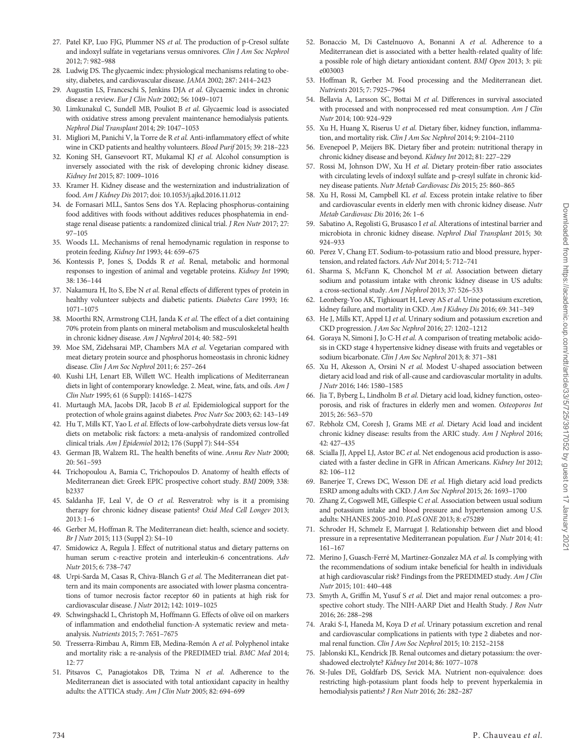Downloaded from https://academic.oup.com/ndt/article/33/5/725/3917052 by guest on 17 January 2021

- 27. Patel KP, Luo FJG, Plummer NS et al. The production of p-Cresol sulfate and indoxyl sulfate in vegetarians versus omnivores. Clin J Am Soc Nephrol 2012; 7: 982–988
- 28. Ludwig DS. The glycaemic index: physiological mechanisms relating to obesity, diabetes, and cardiovascular disease. JAMA 2002; 287: 2414–2423
- 29. Augustin LS, Franceschi S, Jenkins DJA et al. Glycaemic index in chronic disease: a review. Eur J Clin Nutr 2002; 56: 1049–1071
- 30. Limkunakul C, Sundell MB, Pouliot B et al. Glycaemic load is associated with oxidative stress among prevalent maintenance hemodialysis patients. Nephrol Dial Transplant 2014; 29: 1047–1053
- 31. Migliori M, Panichi V, la Torre de R et al. Anti-inflammatory effect of white wine in CKD patients and healthy volunteers. Blood Purif 2015; 39: 218–223
- 32. Koning SH, Gansevoort RT, Mukamal KJ et al. Alcohol consumption is inversely associated with the risk of developing chronic kidney disease. Kidney Int 2015; 87: 1009–1016
- 33. Kramer H. Kidney disease and the westernization and industrialization of food. Am J Kidney Dis 2017; doi: 10.1053/j.ajkd.2016.11.012
- 34. de Fornasari MLL, Santos Sens dos YA. Replacing phosphorus-containing food additives with foods without additives reduces phosphatemia in endstage renal disease patients: a randomized clinical trial. J Ren Nutr 2017; 27: 97–105
- 35. Woods LL. Mechanisms of renal hemodynamic regulation in response to protein feeding. Kidney Int 1993; 44: 659–675
- 36. Kontessis P, Jones S, Dodds R et al. Renal, metabolic and hormonal responses to ingestion of animal and vegetable proteins. Kidney Int 1990; 38: 136–144
- 37. Nakamura H, Ito S, Ebe N et al. Renal effects of different types of protein in healthy volunteer subjects and diabetic patients. Diabetes Care 1993; 16: 1071–1075
- 38. Moorthi RN, Armstrong CLH, Janda K et al. The effect of a diet containing 70% protein from plants on mineral metabolism and musculoskeletal health in chronic kidney disease. Am J Nephrol 2014; 40: 582–591
- 39. Moe SM, Zidehsarai MP, Chambers MA et al. Vegetarian compared with meat dietary protein source and phosphorus homeostasis in chronic kidney disease. Clin J Am Soc Nephrol 2011; 6: 257–264
- 40. Kushi LH, Lenart EB, Willett WC. Health implications of Mediterranean diets in light of contemporary knowledge. 2. Meat, wine, fats, and oils. Am J Clin Nutr 1995; 61 (6 Suppl): 1416S–1427S
- 41. Murtaugh MA, Jacobs DR, Jacob B et al. Epidemiological support for the protection of whole grains against diabetes. Proc Nutr Soc 2003; 62: 143–149
- 42. Hu T, Mills KT, Yao L et al. Effects of low-carbohydrate diets versus low-fat diets on metabolic risk factors: a meta-analysis of randomized controlled clinical trials. Am J Epidemiol 2012; 176 (Suppl 7): S44–S54
- 43. German JB, Walzem RL. The health benefits of wine. Annu Rev Nutr 2000; 20: 561–593
- 44. Trichopoulou A, Bamia C, Trichopoulos D. Anatomy of health effects of Mediterranean diet: Greek EPIC prospective cohort study. BMJ 2009; 338: b2337
- 45. Saldanha JF, Leal V, de O et al. Resveratrol: why is it a promising therapy for chronic kidney disease patients? Oxid Med Cell Longev 2013; 2013: 1–6
- 46. Gerber M, Hoffman R. The Mediterranean diet: health, science and society. Br J Nutr 2015; 113 (Suppl 2): S4–10
- 47. Smidowicz A, Regula J. Effect of nutritional status and dietary patterns on human serum c-reactive protein and interleukin-6 concentrations. Adv Nutr 2015; 6: 738–747
- 48. Urpi-Sarda M, Casas R, Chiva-Blanch G et al. The Mediterranean diet pattern and its main components are associated with lower plasma concentrations of tumor necrosis factor receptor 60 in patients at high risk for cardiovascular disease. J Nutr 2012; 142: 1019–1025
- 49. Schwingshackl L, Christoph M, Hoffmann G. Effects of olive oil on markers of inflammation and endothelial function-A systematic review and metaanalysis. Nutrients 2015; 7: 7651–7675
- 50. Tresserra-Rimbau A, Rimm EB, Medina-Remón A et al. Polyphenol intake and mortality risk: a re-analysis of the PREDIMED trial. BMC Med 2014; 12: 77
- 51. Pitsavos C, Panagiotakos DB, Tzima N et al. Adherence to the Mediterranean diet is associated with total antioxidant capacity in healthy adults: the ATTICA study. Am J Clin Nutr 2005; 82: 694–699
- 52. Bonaccio M, Di Castelnuovo A, Bonanni A et al. Adherence to a Mediterranean diet is associated with a better health-related quality of life: a possible role of high dietary antioxidant content. BMJ Open 2013; 3: pii: e003003
- 53. Hoffman R, Gerber M. Food processing and the Mediterranean diet. Nutrients 2015; 7: 7925–7964
- 54. Bellavia A, Larsson SC, Bottai M et al. Differences in survival associated with processed and with nonprocessed red meat consumption. Am J Clin Nutr 2014; 100: 924–929
- 55. Xu H, Huang X, Riserus U et al. Dietary fiber, kidney function, inflammation, and mortality risk. Clin J Am Soc Nephrol 2014; 9: 2104–2110
- 56. Evenepoel P, Meijers BK. Dietary fiber and protein: nutritional therapy in chronic kidney disease and beyond. Kidney Int 2012; 81: 227–229
- 57. Rossi M, Johnson DW, Xu H et al. Dietary protein-fiber ratio associates with circulating levels of indoxyl sulfate and p-cresyl sulfate in chronic kidney disease patients. Nutr Metab Cardiovasc Dis 2015; 25: 860–865
- 58. Xu H, Rossi M, Campbell KL et al. Excess protein intake relative to fiber and cardiovascular events in elderly men with chronic kidney disease. Nutr Metab Cardiovasc Dis 2016; 26: 1–6
- 59. Sabatino A, Regolisti G, Brusasco I et al. Alterations of intestinal barrier and microbiota in chronic kidney disease. Nephrol Dial Transplant 2015; 30: 924–933
- 60. Perez V, Chang ET. Sodium-to-potassium ratio and blood pressure, hypertension, and related factors. Adv Nut 2014; 5: 712–741
- 61. Sharma S, McFann K, Chonchol M et al. Association between dietary sodium and potassium intake with chronic kidney disease in US adults: a cross-sectional study. Am J Nephrol 2013; 37: 526–533
- 62. Leonberg-Yoo AK, Tighiouart H, Levey AS et al. Urine potassium excretion, kidney failure, and mortality in CKD. Am J Kidney Dis 2016; 69: 341–349
- 63. He J, Mills KT, Appel LJ et al. Urinary sodium and potassium excretion and CKD progression. J Am Soc Nephrol 2016; 27: 1202–1212
- 64. Goraya N, Simoni J, Jo C-H et al. A comparison of treating metabolic acidosis in CKD stage 4 hypertensive kidney disease with fruits and vegetables or sodium bicarbonate. Clin J Am Soc Nephrol 2013; 8: 371–381
- 65. Xu H, Akesson A, Orsini N et al. Modest U-shaped association between dietary acid load and risk of all-cause and cardiovascular mortality in adults. J Nutr 2016; 146: 1580–1585
- 66. Jia T, Byberg L, Lindholm B et al. Dietary acid load, kidney function, osteoporosis, and risk of fractures in elderly men and women. Osteoporos Int 2015; 26: 563–570
- 67. Rebholz CM, Coresh J, Grams ME et al. Dietary Acid load and incident chronic kidney disease: results from the ARIC study. Am J Nephrol 2016; 42: 427–435
- 68. Scialla JJ, Appel LJ, Astor BC et al. Net endogenous acid production is associated with a faster decline in GFR in African Americans. Kidney Int 2012; 82: 106–112
- 69. Banerjee T, Crews DC, Wesson DE et al. High dietary acid load predicts ESRD among adults with CKD. J Am Soc Nephrol 2015; 26: 1693–1700
- 70. Zhang Z, Cogswell ME, Gillespie C et al. Association between usual sodium and potassium intake and blood pressure and hypertension among U.S. adults: NHANES 2005-2010. PLoS ONE 2013; 8: e75289
- 71. Schroder H, Schmelz E, Marrugat J. Relationship between diet and blood pressure in a representative Mediterranean population. Eur J Nutr 2014; 41: 161–167
- 72. Merino J, Guasch-Ferré M, Martinez-Gonzalez MA et al. Is complying with the recommendations of sodium intake beneficial for health in individuals at high cardiovascular risk? Findings from the PREDIMED study. Am J Clin Nutr 2015; 101: 440–448
- 73. Smyth A, Griffin M, Yusuf S et al. Diet and major renal outcomes: a prospective cohort study. The NIH-AARP Diet and Health Study. J Ren Nutr 2016; 26: 288–298
- 74. Araki S-I, Haneda M, Koya D et al. Urinary potassium excretion and renal and cardiovascular complications in patients with type 2 diabetes and normal renal function. Clin J Am Soc Nephrol 2015; 10: 2152–2158
- 75. Jablonski KL, Kendrick JB. Renal outcomes and dietary potassium: the overshadowed electrolyte? Kidney Int 2014; 86: 1077–1078
- 76. St-Jules DE, Goldfarb DS, Sevick MA. Nutrient non-equivalence: does restricting high-potassium plant foods help to prevent hyperkalemia in hemodialysis patients? J Ren Nutr 2016; 26: 282–287